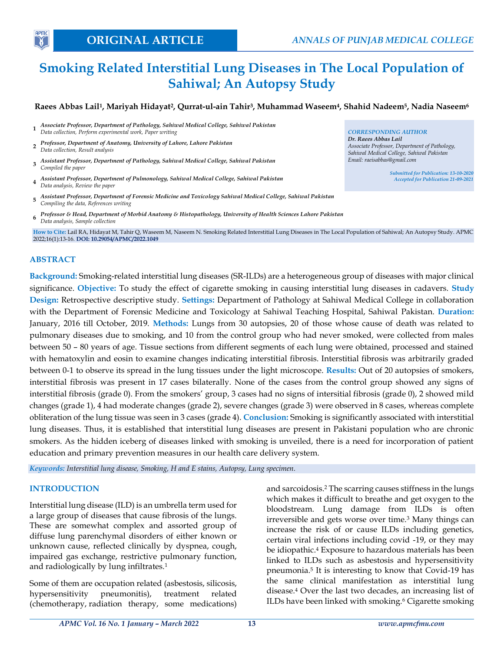*Dr. Raees Abbas Lail*

*Email: raeisabbas@gmail.com*

*Associate Professor, Department of Pathology, Sahiwal Medical College, Sahiwal Pakistan*

> *Submitted for Publication: 13-10-2020 Accepted for Publication 21-09-2021*

# **Smoking Related Interstitial Lung Diseases in The Local Population of Sahiwal; An Autopsy Study**

## **Raees Abbas Lail<sup>1</sup> , Mariyah Hidayat<sup>2</sup> , Qurrat-ul-ain Tahir<sup>3</sup> , Muhammad Waseem<sup>4</sup> , Shahid Nadeem<sup>5</sup> , Nadia Naseem<sup>6</sup>**

- **1** *Associate Professor, Department of Pathology, Sahiwal Medical College, Sahiwal Pakistan Data collection, Perform experimental work, Paper writing CORRESPONDING AUTHOR*
- **2** *Professor, Department of Anatomy, University of Lahore, Lahore Pakistan Data collection, Result analysis*
- **3** *Assistant Professor, Department of Pathology, Sahiwal Medical College, Sahiwal Pakistan Compiled the paper*
- **4** *Assistant Professor, Department of Pulmonology, Sahiwal Medical College, Sahiwal Pakistan Data analysis, Review the paper*
- **5** *Assistant Professor, Department of Forensic Medicine and Toxicology Sahiwal Medical College, Sahiwal Pakistan Compiling the data, References writing*
- **6** *Professor & Head, Department of Morbid Anatomy & Histopathology, University of Health Sciences Lahore Pakistan Data analysis, Sample collection*

**How to Cite:** Lail RA, Hidayat M, Tahir Q, Waseem M, Naseem N. Smoking Related Interstitial Lung Diseases in The Local Population of Sahiwal; An Autopsy Study. APMC 2022;16(1):13-16. **DOI: 10.29054/APMC/2022.1049**

#### **ABSTRACT**

**APM** 

**Background:** Smoking-related interstitial lung diseases (SR-ILDs) are a heterogeneous group of diseases with major clinical significance. **Objective:** To study the effect of cigarette smoking in causing interstitial lung diseases in cadavers. **Study Design:** Retrospective descriptive study. **Settings:** Department of Pathology at Sahiwal Medical College in collaboration with the Department of Forensic Medicine and Toxicology at Sahiwal Teaching Hospital, Sahiwal Pakistan. **Duration:** January, 2016 till October, 2019. **Methods:** Lungs from 30 autopsies, 20 of those whose cause of death was related to pulmonary diseases due to smoking, and 10 from the control group who had never smoked, were collected from males between 50 – 80 years of age. Tissue sections from different segments of each lung were obtained, processed and stained with hematoxylin and eosin to examine changes indicating interstitial fibrosis. Interstitial fibrosis was arbitrarily graded between 0-1 to observe its spread in the lung tissues under the light microscope. **Results:** Out of 20 autopsies of smokers, interstitial fibrosis was present in 17 cases bilaterally. None of the cases from the control group showed any signs of interstitial fibrosis (grade 0). From the smokers' group, 3 cases had no signs of intersitial fibrosis (grade 0), 2 showed mild changes (grade 1), 4 had moderate changes (grade 2), severe changes (grade 3) were observed in 8 cases, whereas complete obliteration of the lung tissue was seen in 3 cases (grade 4). **Conclusion:** Smoking is significantly associated with interstitial lung diseases. Thus, it is established that interstitial lung diseases are present in Pakistani population who are chronic smokers. As the hidden iceberg of diseases linked with smoking is unveiled, there is a need for incorporation of patient education and primary prevention measures in our health care delivery system.

*Keywords: Interstitial lung disease, Smoking, H and E stains, Autopsy, Lung specimen.*

#### **INTRODUCTION**

Interstitial lung disease (ILD) is an umbrella term used for a large group of diseases that cause fibrosis of the lungs. These are somewhat complex and assorted group of diffuse lung parenchymal disorders of either known or unknown cause, reflected clinically by dyspnea, cough, impaired gas exchange, restrictive pulmonary function, and radiologically by lung infiltrates.<sup>1</sup>

Some of them are occupation related (asbestosis, silicosis, hypersensitivity pneumonitis), treatment related (chemotherapy, radiation therapy, some medications) and sarcoidosis.<sup>2</sup> The scarring causes stiffness in the lungs which makes it difficult to breathe and get oxygen to the bloodstream. Lung damage from ILDs is often irreversible and gets worse over time.<sup>3</sup> Many things can increase the risk of or cause ILDs including genetics, certain viral infections including covid -19, or they may be idiopathic.<sup>4</sup> Exposure to hazardous materials has been linked to ILDs such as asbestosis and hypersensitivity pneumonia.<sup>5</sup> It is interesting to know that Covid-19 has the same clinical manifestation as interstitial lung disease.<sup>4</sup> Over the last two decades, an increasing list of ILDs have been linked with smoking.<sup>6</sup> Cigarette smoking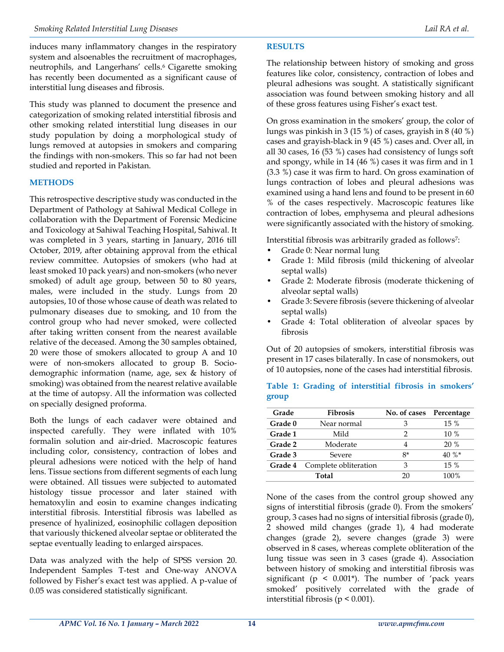This study was planned to document the presence and categorization of smoking related interstitial fibrosis and other smoking related interstitial lung diseases in our study population by doing a morphological study of lungs removed at autopsies in smokers and comparing the findings with non-smokers. This so far had not been studied and reported in Pakistan.

## **METHODS**

This retrospective descriptive study was conducted in the Department of Pathology at Sahiwal Medical College in collaboration with the Department of Forensic Medicine and Toxicology at Sahiwal Teaching Hospital, Sahiwal. It was completed in 3 years, starting in January, 2016 till October, 2019, after obtaining approval from the ethical review committee. Autopsies of smokers (who had at least smoked 10 pack years) and non-smokers (who never smoked) of adult age group, between 50 to 80 years, males, were included in the study. Lungs from 20 autopsies, 10 of those whose cause of death was related to pulmonary diseases due to smoking, and 10 from the control group who had never smoked, were collected after taking written consent from the nearest available relative of the deceased. Among the 30 samples obtained, 20 were those of smokers allocated to group A and 10 were of non-smokers allocated to group B. Sociodemographic information (name, age, sex & history of smoking) was obtained from the nearest relative available at the time of autopsy. All the information was collected on specially designed proforma.

Both the lungs of each cadaver were obtained and inspected carefully. They were inflated with 10% formalin solution and air-dried. Macroscopic features including color, consistency, contraction of lobes and pleural adhesions were noticed with the help of hand lens. Tissue sections from different segments of each lung were obtained. All tissues were subjected to automated histology tissue processor and later stained with hematoxylin and eosin to examine changes indicating interstitial fibrosis. Interstitial fibrosis was labelled as presence of hyalinized, eosinophilic collagen deposition that variously thickened alveolar septae or obliterated the septae eventually leading to enlarged airspaces.

Data was analyzed with the help of SPSS version 20. Independent Samples T-test and One-way ANOVA followed by Fisher's exact test was applied. A p-value of 0.05 was considered statistically significant.

## **RESULTS**

The relationship between history of smoking and gross features like color, consistency, contraction of lobes and pleural adhesions was sought. A statistically significant association was found between smoking history and all of these gross features using Fisher's exact test.

On gross examination in the smokers' group, the color of lungs was pinkish in 3 (15 %) of cases, grayish in 8 (40 %) cases and grayish-black in 9 (45 %) cases and. Over all, in all 30 cases, 16 (53 %) cases had consistency of lungs soft and spongy, while in 14 (46 %) cases it was firm and in 1 (3.3 %) case it was firm to hard. On gross examination of lungs contraction of lobes and pleural adhesions was examined using a hand lens and found to be present in 60 % of the cases respectively. Macroscopic features like contraction of lobes, emphysema and pleural adhesions were significantly associated with the history of smoking.

Interstitial fibrosis was arbitrarily graded as follows<sup>7</sup>:

- Grade 0: Near normal lung
- Grade 1: Mild fibrosis (mild thickening of alveolar septal walls)
- Grade 2: Moderate fibrosis (moderate thickening of alveolar septal walls)
- Grade 3: Severe fibrosis (severe thickening of alveolar septal walls)
- Grade 4: Total obliteration of alveolar spaces by fibrosis

Out of 20 autopsies of smokers, interstitial fibrosis was present in 17 cases bilaterally. In case of nonsmokers, out of 10 autopsies, none of the cases had interstitial fibrosis.

| Grade   | <b>Fibrosis</b>       | No. of cases Percentage |           |
|---------|-----------------------|-------------------------|-----------|
| Grade 0 | Near normal           |                         | $15\%$    |
| Grade 1 | Mild                  | っ                       | $10\%$    |
| Grade 2 | Moderate              |                         | 20%       |
| Grade 3 | Severe                | 8*                      | 40 $\%$ * |
| Grade 4 | Complete obliteration |                         | $15\%$    |
| Total   |                       | 20                      | 100%      |

## **Table 1: Grading of interstitial fibrosis in smokers' group**

None of the cases from the control group showed any signs of interstitial fibrosis (grade 0). From the smokers' group, 3 cases had no signs of intersitial fibrosis (grade 0), 2 showed mild changes (grade 1), 4 had moderate changes (grade 2), severe changes (grade 3) were observed in 8 cases, whereas complete obliteration of the lung tissue was seen in 3 cases (grade 4). Association between history of smoking and interstitial fibrosis was significant ( $p \leq 0.001^*$ ). The number of 'pack years smoked' positively correlated with the grade of interstitial fibrosis ( $p < 0.001$ ).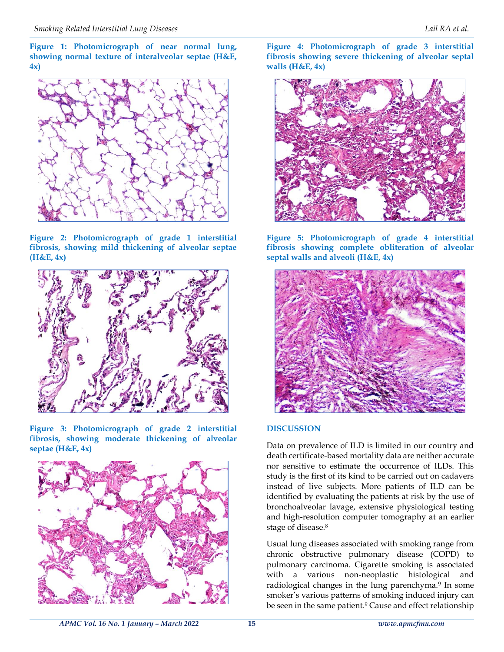**Figure 1: Photomicrograph of near normal lung, showing normal texture of interalveolar septae (H&E, 4x)**



**Figure 2: Photomicrograph of grade 1 interstitial fibrosis, showing mild thickening of alveolar septae (H&E, 4x)**



**Figure 3: Photomicrograph of grade 2 interstitial fibrosis, showing moderate thickening of alveolar septae (H&E, 4x)**



**Figure 4: Photomicrograph of grade 3 interstitial fibrosis showing severe thickening of alveolar septal walls (H&E, 4x)**



**Figure 5: Photomicrograph of grade 4 interstitial fibrosis showing complete obliteration of alveolar septal walls and alveoli (H&E, 4x)**



#### **DISCUSSION**

Data on prevalence of ILD is limited in our country and death certificate-based mortality data are neither accurate nor sensitive to estimate the occurrence of ILDs. This study is the first of its kind to be carried out on cadavers instead of live subjects. More patients of ILD can be identified by evaluating the patients at risk by the use of bronchoalveolar lavage, extensive physiological testing and high-resolution computer tomography at an earlier stage of disease.<sup>8</sup>

Usual lung diseases associated with smoking range from chronic obstructive pulmonary disease (COPD) to pulmonary carcinoma. Cigarette smoking is associated with a various non-neoplastic histological and radiological changes in the lung parenchyma.<sup>9</sup> In some smoker's various patterns of smoking induced injury can be seen in the same patient.<sup>9</sup> Cause and effect relationship